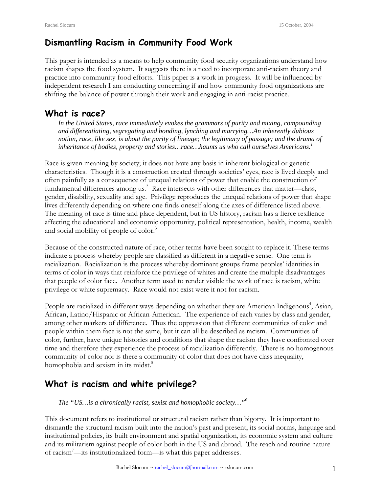# **Dismantling Racism in Community Food Work**

This paper is intended as a means to help community food security organizations understand how racism shapes the food system. It suggests there is a need to incorporate anti-racism theory and practice into community food efforts. This paper is a work in progress. It will be influenced by independent research I am conducting concerning if and how community food organizations are shifting the balance of power through their work and engaging in anti-racist practice.

# **What is race?**

*In the United States, race immediately evokes the grammars of purity and mixing, compounding and differentiating, segregating and bonding, lynching and marrying…An inherently dubious notion, race, like sex, is about the purity of lineage; the legitimacy of passage; and the drama of inheritance of bodies, property and stories…race…haunts us who call ourselves Americans.<sup>1</sup>*

Race is given meaning by society; it does not have any basis in inherent biological or genetic characteristics. Though it is a construction created through societies' eyes, race is lived deeply and often painfully as a consequence of unequal relations of power that enable the construction of fundamental differences among us.<sup>2</sup> Race intersects with other differences that matter-class, gender, disability, sexuality and age. Privilege reproduces the unequal relations of power that shape lives differently depending on where one finds oneself along the axes of difference listed above. The meaning of race is time and place dependent, but in US history, racism has a fierce resilience affecting the educational and economic opportunity, political representation, health, income, wealth and social mobility of people of color.<sup>3</sup>

Because of the constructed nature of race, other terms have been sought to replace it. These terms indicate a process whereby people are classified as different in a negative sense. One term is racialization. Racialization is the process whereby dominant groups frame peoples' identities in terms of color in ways that reinforce the privilege of whites and create the multiple disadvantages that people of color face. Another term used to render visible the work of race is racism, white privilege or white supremacy. Race would not exist were it not for racism.

People are racialized in different ways depending on whether they are American Indigenous<sup>4</sup>, Asian, African, Latino/Hispanic or African-American. The experience of each varies by class and gender, among other markers of difference. Thus the oppression that different communities of color and people within them face is not the same, but it can all be described as racism. Communities of color, further, have unique histories and conditions that shape the racism they have confronted over time and therefore they experience the process of racialization differently. There is no homogenous community of color nor is there a community of color that does not have class inequality, homophobia and sexism in its midst.<sup>5</sup>

# **What is racism and white privilege?**

*The "US…is a chronically racist, sexist and homophobic society…"6*

This document refers to institutional or structural racism rather than bigotry. It is important to dismantle the structural racism built into the nation's past and present, its social norms, language and institutional policies, its built environment and spatial organization, its economic system and culture and its militarism against people of color both in the US and abroad. The reach and routine nature of racism7 —its institutionalized form—is what this paper addresses.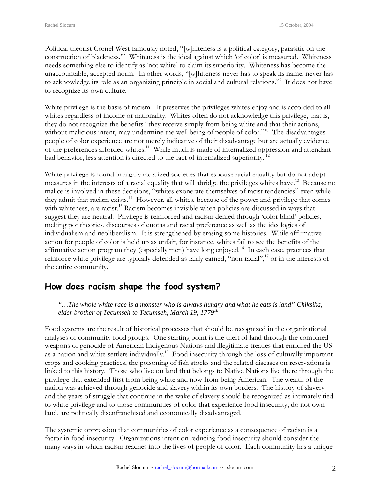Political theorist Cornel West famously noted, "[w]hiteness is a political category, parasitic on the construction of blackness."<sup>8</sup> Whiteness is the ideal against which 'of color' is measured. Whiteness needs something else to identify as 'not white' to claim its superiority. Whiteness has become the unaccountable, accepted norm. In other words, "[w]hiteness never has to speak its name, never has to acknowledge its role as an organizing principle in social and cultural relations."9 It does not have to recognize its own culture.

White privilege is the basis of racism. It preserves the privileges whites enjoy and is accorded to all whites regardless of income or nationality. Whites often do not acknowledge this privilege, that is, they do not recognize the benefits "they receive simply from being white and that their actions, without malicious intent, may undermine the well being of people of color."<sup>10</sup> The disadvantages people of color experience are not merely indicative of their disadvantage but are actually evidence of the preferences afforded whites.<sup>11</sup> While much is made of internalized oppression and attendant bad behavior, less attention is directed to the fact of internalized superiority. 12

White privilege is found in highly racialized societies that espouse racial equality but do not adopt measures in the interests of a racial equality that will abridge the privileges whites have.<sup>13</sup> Because no malice is involved in these decisions, "whites exonerate themselves of racist tendencies" even while they admit that racism exists.<sup>14</sup> However, all whites, because of the power and privilege that comes with whiteness, are racist.<sup>15</sup> Racism becomes invisible when policies are discussed in ways that suggest they are neutral. Privilege is reinforced and racism denied through 'color blind' policies, melting pot theories, discourses of quotas and racial preference as well as the ideologies of individualism and neoliberalism. It is strengthened by erasing some histories. While affirmative action for people of color is held up as unfair, for instance, whites fail to see the benefits of the affirmative action program they (especially men) have long enjoyed.<sup>16</sup> In each case, practices that reinforce white privilege are typically defended as fairly earned, "non racial",<sup>17</sup> or in the interests of the entire community.

# **How does racism shape the food system?**

*"…The whole white race is a monster who is always hungry and what he eats is land" Chiksika, elder brother of Tecumseh to Tecumseh, March 19, 177918* 

Food systems are the result of historical processes that should be recognized in the organizational analyses of community food groups. One starting point is the theft of land through the combined weapons of genocide of American Indigenous Nations and illegitimate treaties that enriched the US as a nation and white settlers individually.<sup>19</sup> Food insecurity through the loss of culturally important crops and cooking practices, the poisoning of fish stocks and the related diseases on reservations is linked to this history. Those who live on land that belongs to Native Nations live there through the privilege that extended first from being white and now from being American. The wealth of the nation was achieved through genocide and slavery within its own borders. The history of slavery and the years of struggle that continue in the wake of slavery should be recognized as intimately tied to white privilege and to those communities of color that experience food insecurity, do not own land, are politically disenfranchised and economically disadvantaged.

The systemic oppression that communities of color experience as a consequence of racism is a factor in food insecurity. Organizations intent on reducing food insecurity should consider the many ways in which racism reaches into the lives of people of color. Each community has a unique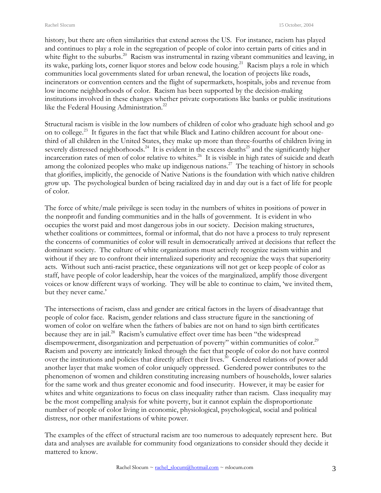history, but there are often similarities that extend across the US. For instance, racism has played and continues to play a role in the segregation of people of color into certain parts of cities and in white flight to the suburbs.<sup>20</sup> Racism was instrumental in razing vibrant communities and leaving, in its wake, parking lots, corner liquor stores and below code housing.<sup>21</sup> Racism plays a role in which communities local governments slated for urban renewal, the location of projects like roads, incinerators or convention centers and the flight of supermarkets, hospitals, jobs and revenue from low income neighborhoods of color. Racism has been supported by the decision-making institutions involved in these changes whether private corporations like banks or public institutions like the Federal Housing Administration.<sup>22</sup>

Structural racism is visible in the low numbers of children of color who graduate high school and go on to college.<sup>23</sup> It figures in the fact that while Black and Latino children account for about onethird of all children in the United States, they make up more than three-fourths of children living in severely distressed neighborhoods.<sup>24</sup> It is evident in the excess deaths<sup>25</sup> and the significantly higher incarceration rates of men of color relative to whites.<sup>26</sup> It is visible in high rates of suicide and death among the colonized peoples who make up indigenous nations.<sup>27</sup> The teaching of history in schools that glorifies, implicitly, the genocide of Native Nations is the foundation with which native children grow up. The psychological burden of being racialized day in and day out is a fact of life for people of color.

The force of white/male privilege is seen today in the numbers of whites in positions of power in the nonprofit and funding communities and in the halls of government. It is evident in who occupies the worst paid and most dangerous jobs in our society. Decision making structures, whether coalitions or committees, formal or informal, that do not have a process to truly represent the concerns of communities of color will result in democratically arrived at decisions that reflect the dominant society. The culture of white organizations must actively recognize racism within and without if they are to confront their internalized superiority and recognize the ways that superiority acts. Without such anti-racist practice, these organizations will not get or keep people of color as staff, have people of color leadership, hear the voices of the marginalized, amplify those divergent voices or know different ways of working. They will be able to continue to claim, 'we invited them, but they never came.'

The intersections of racism, class and gender are critical factors in the layers of disadvantage that people of color face. Racism, gender relations and class structure figure in the sanctioning of women of color on welfare when the fathers of babies are not on hand to sign birth certificates because they are in jail.<sup>28</sup> Racism's cumulative effect over time has been "the widespread disempowerment, disorganization and perpetuation of poverty" within communities of color.<sup>29</sup> Racism and poverty are intricately linked through the fact that people of color do not have control over the institutions and policies that directly affect their lives.<sup>30</sup> Gendered relations of power add another layer that make women of color uniquely oppressed. Gendered power contributes to the phenomenon of women and children constituting increasing numbers of households, lower salaries for the same work and thus greater economic and food insecurity. However, it may be easier for whites and white organizations to focus on class inequality rather than racism. Class inequality may be the most compelling analysis for white poverty, but it cannot explain the disproportionate number of people of color living in economic, physiological, psychological, social and political distress, nor other manifestations of white power.

The examples of the effect of structural racism are too numerous to adequately represent here. But data and analyses are available for community food organizations to consider should they decide it mattered to know.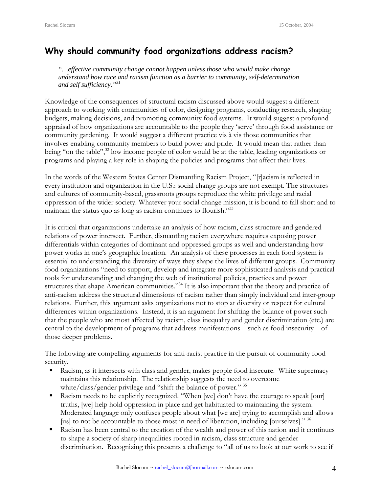# **Why should community food organizations address racism?**

*"…effective community change cannot happen unless those who would make change understand how race and racism function as a barrier to community, self-determination and self sufficiency."31*

Knowledge of the consequences of structural racism discussed above would suggest a different approach to working with communities of color, designing programs, conducting research, shaping budgets, making decisions, and promoting community food systems. It would suggest a profound appraisal of how organizations are accountable to the people they 'serve' through food assistance or community gardening. It would suggest a different practice vis à vis those communities that involves enabling community members to build power and pride. It would mean that rather than being "on the table",<sup>32</sup> low income people of color would be at the table, leading organizations or programs and playing a key role in shaping the policies and programs that affect their lives.

In the words of the Western States Center Dismantling Racism Project, "[r]acism is reflected in every institution and organization in the U.S.: social change groups are not exempt. The structures and cultures of community-based, grassroots groups reproduce the white privilege and racial oppression of the wider society. Whatever your social change mission, it is bound to fall short and to maintain the status quo as long as racism continues to flourish."33

It is critical that organizations undertake an analysis of how racism, class structure and gendered relations of power intersect. Further, dismantling racism everywhere requires exposing power differentials within categories of dominant and oppressed groups as well and understanding how power works in one's geographic location. An analysis of these processes in each food system is essential to understanding the diversity of ways they shape the lives of different groups. Community food organizations "need to support, develop and integrate more sophisticated analysis and practical tools for understanding and changing the web of institutional policies, practices and power structures that shape American communities."<sup>34</sup> It is also important that the theory and practice of anti-racism address the structural dimensions of racism rather than simply individual and inter-group relations. Further, this argument asks organizations not to stop at diversity or respect for cultural differences within organizations. Instead, it is an argument for shifting the balance of power such that the people who are most affected by racism, class inequality and gender discrimination (etc.) are central to the development of programs that address manifestations—such as food insecurity—of those deeper problems.

The following are compelling arguments for anti-racist practice in the pursuit of community food security.

- Racism, as it intersects with class and gender, makes people food insecure. White supremacy maintains this relationship. The relationship suggests the need to overcome white/class/gender privilege and "shift the balance of power." 35
- Racism needs to be explicitly recognized. "When [we] don't have the courage to speak [our] truths, [we] help hold oppression in place and get habituated to maintaining the system. Moderated language only confuses people about what [we are] trying to accomplish and allows [us] to not be accountable to those most in need of liberation, including [ourselves]." 36
- **Racism has been central to the creation of the wealth and power of this nation and it continues** to shape a society of sharp inequalities rooted in racism, class structure and gender discrimination. Recognizing this presents a challenge to "all of us to look at our work to see if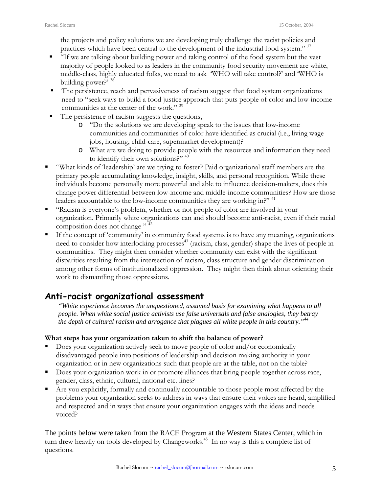the projects and policy solutions we are developing truly challenge the racist policies and practices which have been central to the development of the industrial food system." 37

- "If we are talking about building power and taking control of the food system but the vast majority of people looked to as leaders in the community food security movement are white, middle-class, highly educated folks, we need to ask 'WHO will take control?' and 'WHO is building power?<sup>5</sup> 38
- The persistence, reach and pervasiveness of racism suggest that food system organizations need to "seek ways to build a food justice approach that puts people of color and low-income communities at the center of the work."<sup>39</sup>
- The persistence of racism suggests the questions,
	- o "Do the solutions we are developing speak to the issues that low-income communities and communities of color have identified as crucial (i.e., living wage jobs, housing, child-care, supermarket development)?
	- o What are we doing to provide people with the resources and information they need to identify their own solutions?" <sup>40</sup>
- "What kinds of 'leadership' are we trying to foster? Paid organizational staff members are the primary people accumulating knowledge, insight, skills, and personal recognition. While these individuals become personally more powerful and able to influence decision-makers, does this change power differential between low-income and middle-income communities? How are those leaders accountable to the low-income communities they are working in?"<sup>41</sup>
- "Racism is everyone's problem, whether or not people of color are involved in your organization. Primarily white organizations can and should become anti-racist, even if their racial composition does not change"<sup>, 42</sup>
- If the concept of 'community' in community food systems is to have any meaning, organizations need to consider how interlocking processes<sup>43</sup> (racism, class, gender) shape the lives of people in communities. They might then consider whether community can exist with the significant disparities resulting from the intersection of racism, class structure and gender discrimination among other forms of institutionalized oppression. They might then think about orienting their work to dismantling those oppressions.

# **Anti-racist organizational assessment**

*"White experience becomes the unquestioned, assumed basis for examining what happens to all people. When white social justice activists use false universals and false analogies, they betray the depth of cultural racism and arrogance that plagues all white people in this country."44*

## **What steps has your organization taken to shift the balance of power?**

- Does your organization actively seek to move people of color and/or economically disadvantaged people into positions of leadership and decision making authority in your organization or in new organizations such that people are at the table, not on the table?
- Does your organization work in or promote alliances that bring people together across race, gender, class, ethnic, cultural, national etc. lines?
- Are you explicitly, formally and continually accountable to those people most affected by the problems your organization seeks to address in ways that ensure their voices are heard, amplified and respected and in ways that ensure your organization engages with the ideas and needs voiced?

The points below were taken from the RACE Program at the Western States Center, which in turn drew heavily on tools developed by Changeworks.<sup>45</sup> In no way is this a complete list of questions.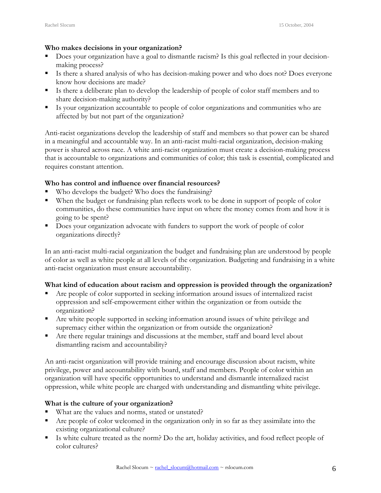### **Who makes decisions in your organization?**

- Does your organization have a goal to dismantle racism? Is this goal reflected in your decisionmaking process?
- Is there a shared analysis of who has decision-making power and who does not? Does everyone know how decisions are made?
- Is there a deliberate plan to develop the leadership of people of color staff members and to share decision-making authority?
- Is your organization accountable to people of color organizations and communities who are affected by but not part of the organization?

Anti-racist organizations develop the leadership of staff and members so that power can be shared in a meaningful and accountable way. In an anti-racist multi-racial organization, decision-making power is shared across race. A white anti-racist organization must create a decision-making process that is accountable to organizations and communities of color; this task is essential, complicated and requires constant attention.

## **Who has control and influence over financial resources?**

- Who develops the budget? Who does the fundraising?
- When the budget or fundraising plan reflects work to be done in support of people of color communities, do these communities have input on where the money comes from and how it is going to be spent?
- Does your organization advocate with funders to support the work of people of color organizations directly?

In an anti-racist multi-racial organization the budget and fundraising plan are understood by people of color as well as white people at all levels of the organization. Budgeting and fundraising in a white anti-racist organization must ensure accountability.

## **What kind of education about racism and oppression is provided through the organization?**

- Are people of color supported in seeking information around issues of internalized racist oppression and self-empowerment either within the organization or from outside the organization?
- Are white people supported in seeking information around issues of white privilege and supremacy either within the organization or from outside the organization?
- Are there regular trainings and discussions at the member, staff and board level about dismantling racism and accountability?

An anti-racist organization will provide training and encourage discussion about racism, white privilege, power and accountability with board, staff and members. People of color within an organization will have specific opportunities to understand and dismantle internalized racist oppression, while white people are charged with understanding and dismantling white privilege.

## **What is the culture of your organization?**

- What are the values and norms, stated or unstated?
- Are people of color welcomed in the organization only in so far as they assimilate into the existing organizational culture?
- Is white culture treated as the norm? Do the art, holiday activities, and food reflect people of color cultures?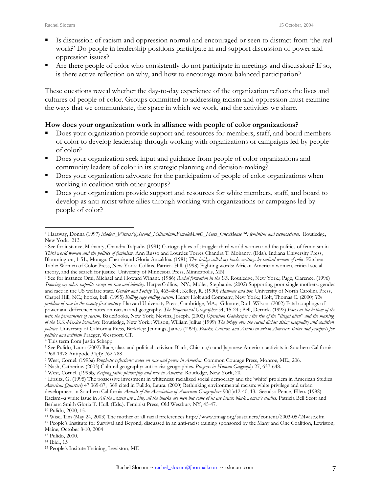- Is discussion of racism and oppression normal and encouraged or seen to distract from 'the real work?' Do people in leadership positions participate in and support discussion of power and oppression issues?
- Are there people of color who consistently do not participate in meetings and discussion? If so, is there active reflection on why, and how to encourage more balanced participation?

These questions reveal whether the day-to-day experience of the organization reflects the lives and cultures of people of color. Groups committed to addressing racism and oppression must examine the ways that we communicate, the space in which we work, and the activities we share.

## **How does your organization work in alliance with people of color organizations?**

- Does your organization provide support and resources for members, staff, and board members of color to develop leadership through working with organizations or campaigns led by people of color?
- Does your organization seek input and guidance from people of color organizations and community leaders of color in its strategic planning and decision-making?
- Does your organization advocate for the participation of people of color organizations when working in coalition with other groups?
- Does your organization provide support and resources for white members, staff, and board to develop as anti-racist white allies through working with organizations or campaigns led by people of color?

<sup>1</sup> 1 Haraway, Donna (1997) *Modest\_Witness@Second\_Millennium.FemaleMan©\_Meets\_OncoMouse™: feminism and technoscience*. Routledge,

<sup>&</sup>lt;sup>2</sup> See for instance, Mohanty, Chandra Talpade. (1991) Cartographies of struggle: third world women and the politics of feminism in *Third world women and the politics of feminism*. Ann Russo and Lourdes Torres Chandra T. Mohanty. (Eds.). Indiana University Press, Bloomington, 1-51.; Moraga, Cherríe and Gloria Anzaldúa. (1981) *This bridge called my back: writings by radical women of color.* Kitchen Table: Women of Color Press, New York.; Collins, Patricia Hill. (1998) Fighting words: African-American women, critical social

<sup>&</sup>lt;sup>3</sup> See for instance Omi, Michael and Howard Winant. (1986) *Racial formation in the US*. Routledge, New York.; Page, Clarence. (1996) *Showing my color: impolite essays on race and identity*. HarperCollins, NY.; Moller, Stephanie. (2002) Supporting poor single mothers: gender and race in the US welfare state. *Gender and Society* 16, 465-484.; Kelley, R. (1990) *Hammer and hoe.* University of North Carolina Press, Chapel Hill, NC.; hooks, bell. (1995) *Killing rage ending racism.* Henry Holt and Company, New York.; Holt, Thomas C. (2000) *The problem of race in the twenty-first century.* Harvard University Press, Cambridge, MA.; Gilmore, Ruth Wilson. (2002) Fatal couplings of power and difference: notes on racism and geography. *The Professional Geographer* 54, 15-24.; Bell, Derrick. (1992) *Faces at the bottom of the well: the permanence of racism*. BasicBooks, New York; Nevins, Joseph. (2002) *Operation Gatekeeper : the rise of the "illegal alien" and the making of the U.S.-Mexico boundary*. Routledge, New York.; Wilson, William Julius (1999) *The bridge over the racial divide:* **r***ising inequality and coalition politics.* University of California Press, Berkeley; Jennings, James (1994). *Blacks, Latinos, and Asians in urban America: status and prospects for politics and activism* Praeger, Westport, CT.<br><sup>4</sup> This term from Justin Schapp.<br><sup>5</sup> See Pulido, Laura (2002) Race, class and political activism: Black, Chicana/o and Japanese American activists in Southern California

<sup>1968-1978</sup> Antipode 34(4): 762-788<br>
6 West, Cornel. (1993a) *Prophetic reflections: notes on race and power in America*. Common Courage Press, Monroe, ME., 206.<br>
7 Nash, Catherine. (2003) Cultural geography: anti-racist geo

*American Quarterly* 47:369-87, 369 cited in Pulido, Laura. (2000) Rethinking environmental racism: white privilege and urban development in Southern California *Annals of the Association of American Geographers* 90(1):12-40, 13. See also Pence, Ellen. (1982) Racism--a white issue in *All the women are white, all the blacks are men but some of us are brave: black women's studies*. Patricia Bell Scott and Barbara Smith Gloria T. Hull. (Eds.). Feminist Press, Old Westbury NY, 45-47.

<sup>10</sup> Pulido, 2000, 15.

<sup>11</sup> Wise, Tim (May 24, 2003) The mother of all racial preferences http://www.zmag.org/sustainers/content/2003-05/24wise.cfm

<sup>12</sup> People's Institute for Survival and Beyond, discussed in an anti-racist training sponsored by the Many and One Coalition, Lewiston, Maine, October 8-10, 2004<br><sup>13</sup> Pulido, 2000.<br><sup>14</sup> Ibid., 15<br><sup>15</sup> People's Insitute Training, Lewiston, ME